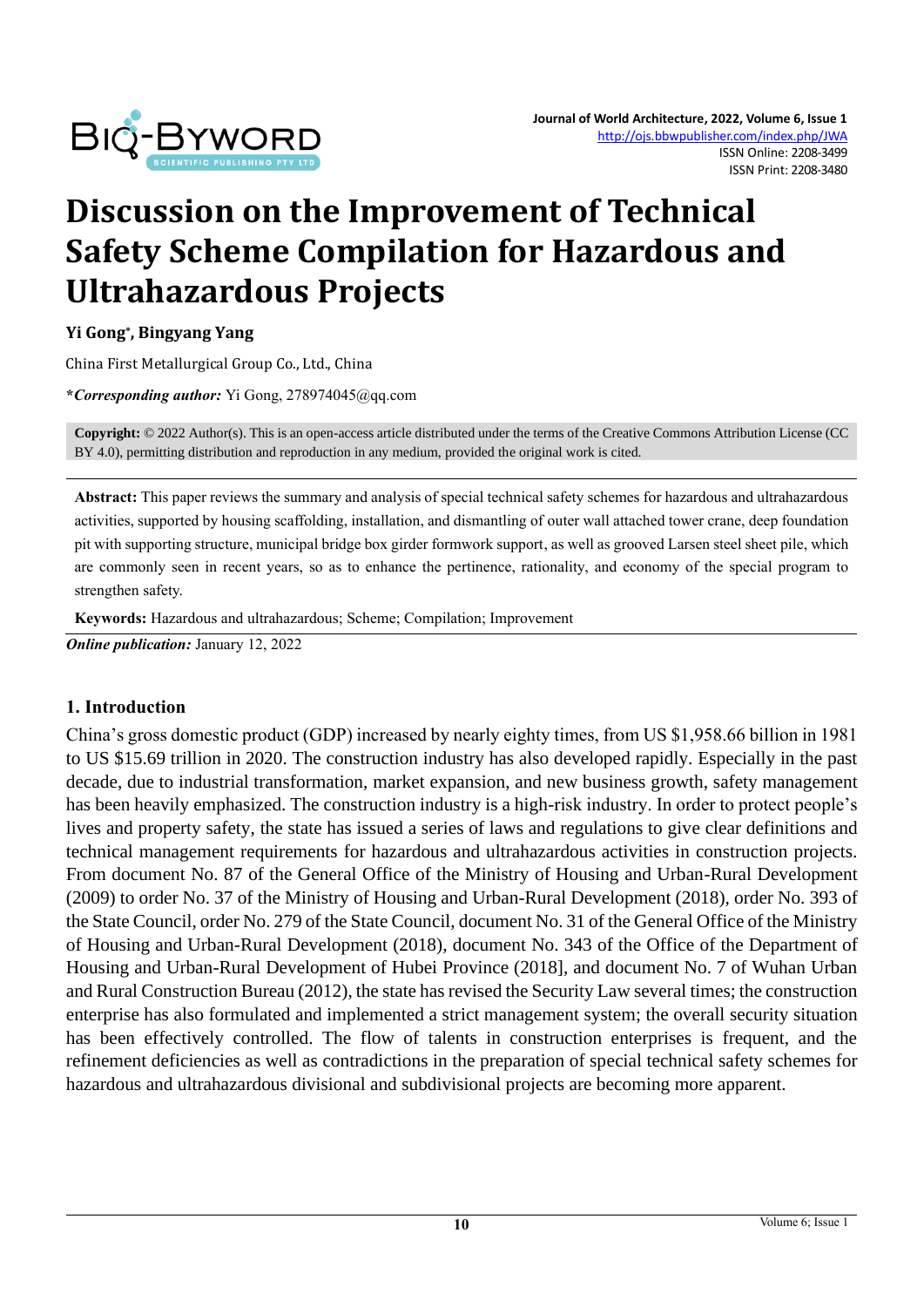

# **Discussion on the Improvement of Technical Safety Scheme Compilation for Hazardous and Ultrahazardous Projects**

**Yi Gong\* , Bingyang Yang**

China First Metallurgical Group Co., Ltd., China

**\****Corresponding author:* Yi Gong, 278974045@qq.com

**Copyright:** © 2022 Author(s). This is an open-access article distributed under the terms of th[e Creative Commons Attribution License \(CC](https://creativecommons.org/licenses/by/4.0/)  [BY 4.0\),](https://creativecommons.org/licenses/by/4.0/) permitting distribution and reproduction in any medium, provided the original work is cited.

**Abstract:** This paper reviews the summary and analysis of special technical safety schemes for hazardous and ultrahazardous activities, supported by housing scaffolding, installation, and dismantling of outer wall attached tower crane, deep foundation pit with supporting structure, municipal bridge box girder formwork support, as well as grooved Larsen steel sheet pile, which are commonly seen in recent years, so as to enhance the pertinence, rationality, and economy of the special program to strengthen safety.

**Keywords:** Hazardous and ultrahazardous; Scheme; Compilation; Improvement

*Online publication:* January 12, 2022

#### **1. Introduction**

China's gross domestic product (GDP) increased by nearly eighty times, from US \$1,958.66 billion in 1981 to US \$15.69 trillion in 2020. The construction industry has also developed rapidly. Especially in the past decade, due to industrial transformation, market expansion, and new business growth, safety management has been heavily emphasized. The construction industry is a high-risk industry. In order to protect people's lives and property safety, the state has issued a series of laws and regulations to give clear definitions and technical management requirements for hazardous and ultrahazardous activities in construction projects. From document No. 87 of the General Office of the Ministry of Housing and Urban-Rural Development (2009) to order No. 37 of the Ministry of Housing and Urban-Rural Development (2018), order No. 393 of the State Council, order No. 279 of the State Council, document No. 31 of the General Office of the Ministry of Housing and Urban-Rural Development (2018), document No. 343 of the Office of the Department of Housing and Urban-Rural Development of Hubei Province (2018], and document No. 7 of Wuhan Urban and Rural Construction Bureau (2012), the state has revised the Security Law several times; the construction enterprise has also formulated and implemented a strict management system; the overall security situation has been effectively controlled. The flow of talents in construction enterprises is frequent, and the refinement deficiencies as well as contradictions in the preparation of special technical safety schemes for hazardous and ultrahazardous divisional and subdivisional projects are becoming more apparent.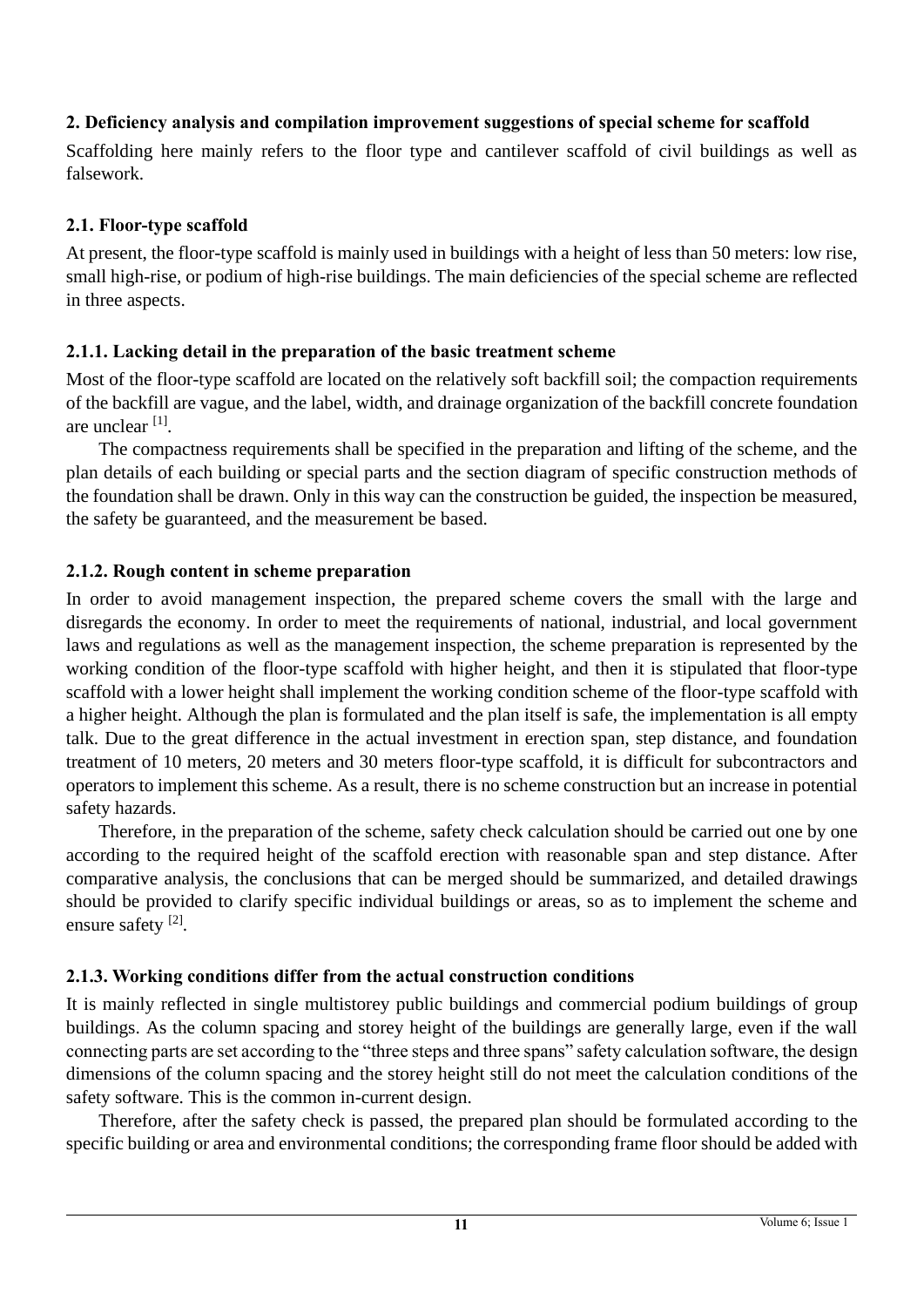## **2. Deficiency analysis and compilation improvement suggestions of special scheme for scaffold**

Scaffolding here mainly refers to the floor type and cantilever scaffold of civil buildings as well as falsework.

#### **2.1. Floor-type scaffold**

At present, the floor-type scaffold is mainly used in buildings with a height of less than 50 meters: low rise, small high-rise, or podium of high-rise buildings. The main deficiencies of the special scheme are reflected in three aspects.

### **2.1.1. Lacking detail in the preparation of the basic treatment scheme**

Most of the floor-type scaffold are located on the relatively soft backfill soil; the compaction requirements of the backfill are vague, and the label, width, and drainage organization of the backfill concrete foundation are unclear [1] .

The compactness requirements shall be specified in the preparation and lifting of the scheme, and the plan details of each building or special parts and the section diagram of specific construction methods of the foundation shall be drawn. Only in this way can the construction be guided, the inspection be measured, the safety be guaranteed, and the measurement be based.

### **2.1.2. Rough content in scheme preparation**

In order to avoid management inspection, the prepared scheme covers the small with the large and disregards the economy. In order to meet the requirements of national, industrial, and local government laws and regulations as well as the management inspection, the scheme preparation is represented by the working condition of the floor-type scaffold with higher height, and then it is stipulated that floor-type scaffold with a lower height shall implement the working condition scheme of the floor-type scaffold with a higher height. Although the plan is formulated and the plan itself is safe, the implementation is all empty talk. Due to the great difference in the actual investment in erection span, step distance, and foundation treatment of 10 meters, 20 meters and 30 meters floor-type scaffold, it is difficult for subcontractors and operators to implement this scheme. As a result, there is no scheme construction but an increase in potential safety hazards.

Therefore, in the preparation of the scheme, safety check calculation should be carried out one by one according to the required height of the scaffold erection with reasonable span and step distance. After comparative analysis, the conclusions that can be merged should be summarized, and detailed drawings should be provided to clarify specific individual buildings or areas, so as to implement the scheme and ensure safety<sup>[2]</sup>.

## **2.1.3. Working conditions differ from the actual construction conditions**

It is mainly reflected in single multistorey public buildings and commercial podium buildings of group buildings. As the column spacing and storey height of the buildings are generally large, even if the wall connecting parts are set according to the "three steps and three spans" safety calculation software, the design dimensions of the column spacing and the storey height still do not meet the calculation conditions of the safety software. This is the common in-current design.

Therefore, after the safety check is passed, the prepared plan should be formulated according to the specific building or area and environmental conditions; the corresponding frame floor should be added with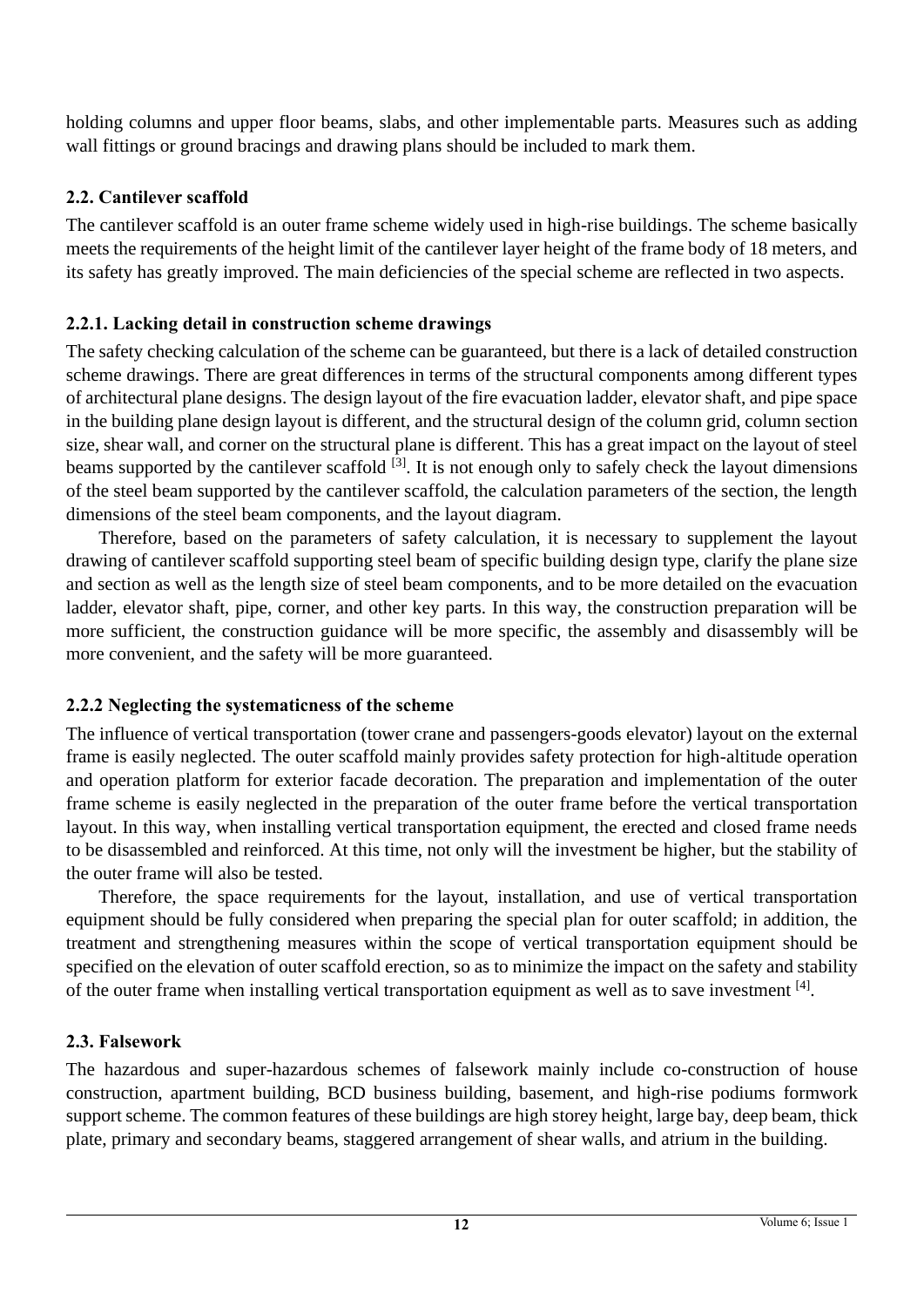holding columns and upper floor beams, slabs, and other implementable parts. Measures such as adding wall fittings or ground bracings and drawing plans should be included to mark them.

## **2.2. Cantilever scaffold**

The cantilever scaffold is an outer frame scheme widely used in high-rise buildings. The scheme basically meets the requirements of the height limit of the cantilever layer height of the frame body of 18 meters, and its safety has greatly improved. The main deficiencies of the special scheme are reflected in two aspects.

## **2.2.1. Lacking detail in construction scheme drawings**

The safety checking calculation of the scheme can be guaranteed, but there is a lack of detailed construction scheme drawings. There are great differences in terms of the structural components among different types of architectural plane designs. The design layout of the fire evacuation ladder, elevator shaft, and pipe space in the building plane design layout is different, and the structural design of the column grid, column section size, shear wall, and corner on the structural plane is different. This has a great impact on the layout of steel beams supported by the cantilever scaffold <sup>[3]</sup>. It is not enough only to safely check the layout dimensions of the steel beam supported by the cantilever scaffold, the calculation parameters of the section, the length dimensions of the steel beam components, and the layout diagram.

Therefore, based on the parameters of safety calculation, it is necessary to supplement the layout drawing of cantilever scaffold supporting steel beam of specific building design type, clarify the plane size and section as well as the length size of steel beam components, and to be more detailed on the evacuation ladder, elevator shaft, pipe, corner, and other key parts. In this way, the construction preparation will be more sufficient, the construction guidance will be more specific, the assembly and disassembly will be more convenient, and the safety will be more guaranteed.

## **2.2.2 Neglecting the systematicness of the scheme**

The influence of vertical transportation (tower crane and passengers-goods elevator) layout on the external frame is easily neglected. The outer scaffold mainly provides safety protection for high-altitude operation and operation platform for exterior facade decoration. The preparation and implementation of the outer frame scheme is easily neglected in the preparation of the outer frame before the vertical transportation layout. In this way, when installing vertical transportation equipment, the erected and closed frame needs to be disassembled and reinforced. At this time, not only will the investment be higher, but the stability of the outer frame will also be tested.

Therefore, the space requirements for the layout, installation, and use of vertical transportation equipment should be fully considered when preparing the special plan for outer scaffold; in addition, the treatment and strengthening measures within the scope of vertical transportation equipment should be specified on the elevation of outer scaffold erection, so as to minimize the impact on the safety and stability of the outer frame when installing vertical transportation equipment as well as to save investment  $^{[4]}$ .

## **2.3. Falsework**

The hazardous and super-hazardous schemes of falsework mainly include co-construction of house construction, apartment building, BCD business building, basement, and high-rise podiums formwork support scheme. The common features of these buildings are high storey height, large bay, deep beam, thick plate, primary and secondary beams, staggered arrangement of shear walls, and atrium in the building.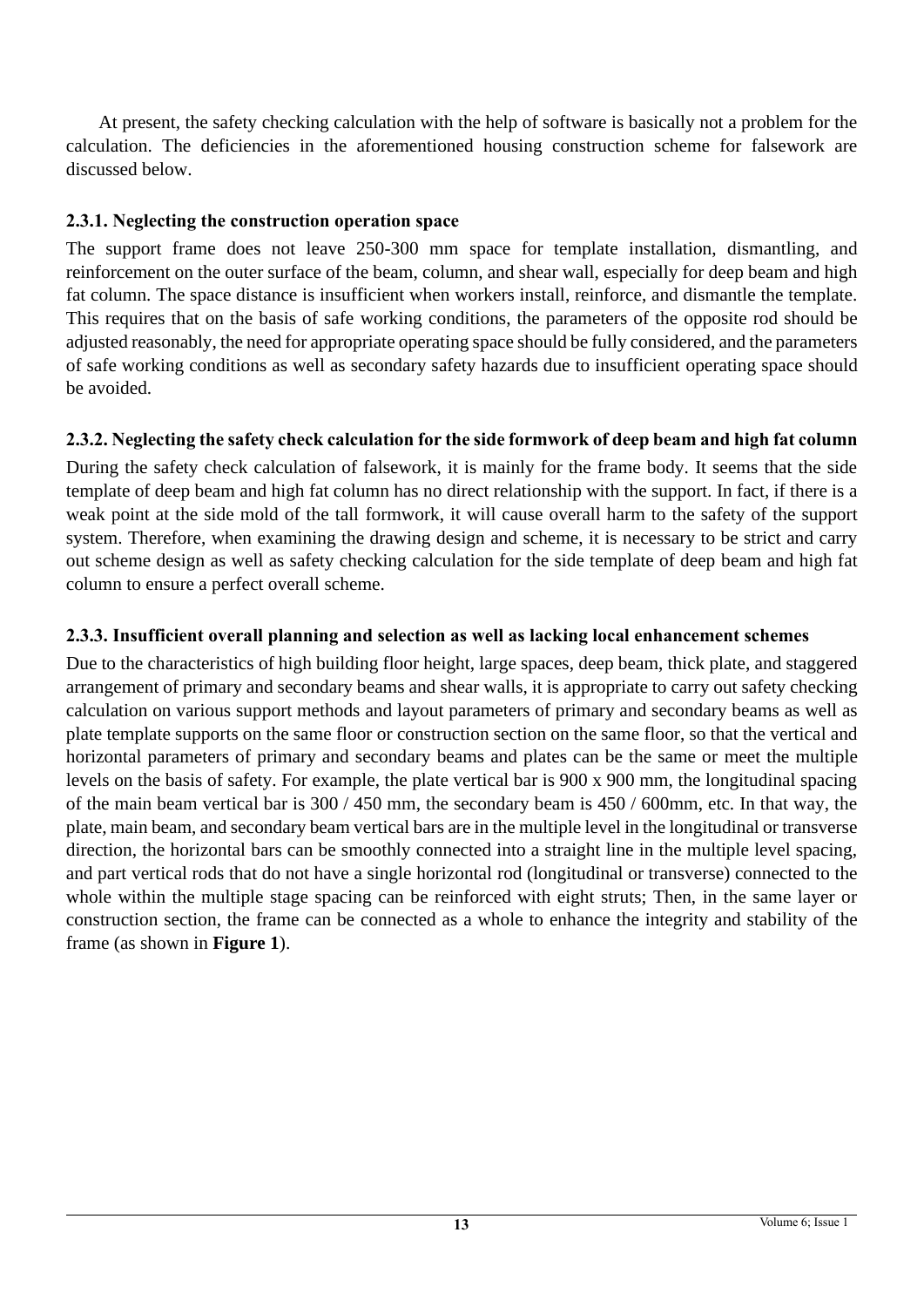At present, the safety checking calculation with the help of software is basically not a problem for the calculation. The deficiencies in the aforementioned housing construction scheme for falsework are discussed below.

### **2.3.1. Neglecting the construction operation space**

The support frame does not leave 250-300 mm space for template installation, dismantling, and reinforcement on the outer surface of the beam, column, and shear wall, especially for deep beam and high fat column. The space distance is insufficient when workers install, reinforce, and dismantle the template. This requires that on the basis of safe working conditions, the parameters of the opposite rod should be adjusted reasonably, the need for appropriate operating space should be fully considered, and the parameters of safe working conditions as well as secondary safety hazards due to insufficient operating space should be avoided.

## **2.3.2. Neglecting the safety check calculation for the side formwork of deep beam and high fat column**

During the safety check calculation of falsework, it is mainly for the frame body. It seems that the side template of deep beam and high fat column has no direct relationship with the support. In fact, if there is a weak point at the side mold of the tall formwork, it will cause overall harm to the safety of the support system. Therefore, when examining the drawing design and scheme, it is necessary to be strict and carry out scheme design as well as safety checking calculation for the side template of deep beam and high fat column to ensure a perfect overall scheme.

## **2.3.3. Insufficient overall planning and selection as well as lacking local enhancement schemes**

Due to the characteristics of high building floor height, large spaces, deep beam, thick plate, and staggered arrangement of primary and secondary beams and shear walls, it is appropriate to carry out safety checking calculation on various support methods and layout parameters of primary and secondary beams as well as plate template supports on the same floor or construction section on the same floor, so that the vertical and horizontal parameters of primary and secondary beams and plates can be the same or meet the multiple levels on the basis of safety. For example, the plate vertical bar is 900 x 900 mm, the longitudinal spacing of the main beam vertical bar is 300 / 450 mm, the secondary beam is 450 / 600mm, etc. In that way, the plate, main beam, and secondary beam vertical bars are in the multiple level in the longitudinal or transverse direction, the horizontal bars can be smoothly connected into a straight line in the multiple level spacing, and part vertical rods that do not have a single horizontal rod (longitudinal or transverse) connected to the whole within the multiple stage spacing can be reinforced with eight struts; Then, in the same layer or construction section, the frame can be connected as a whole to enhance the integrity and stability of the frame (as shown in **Figure 1**).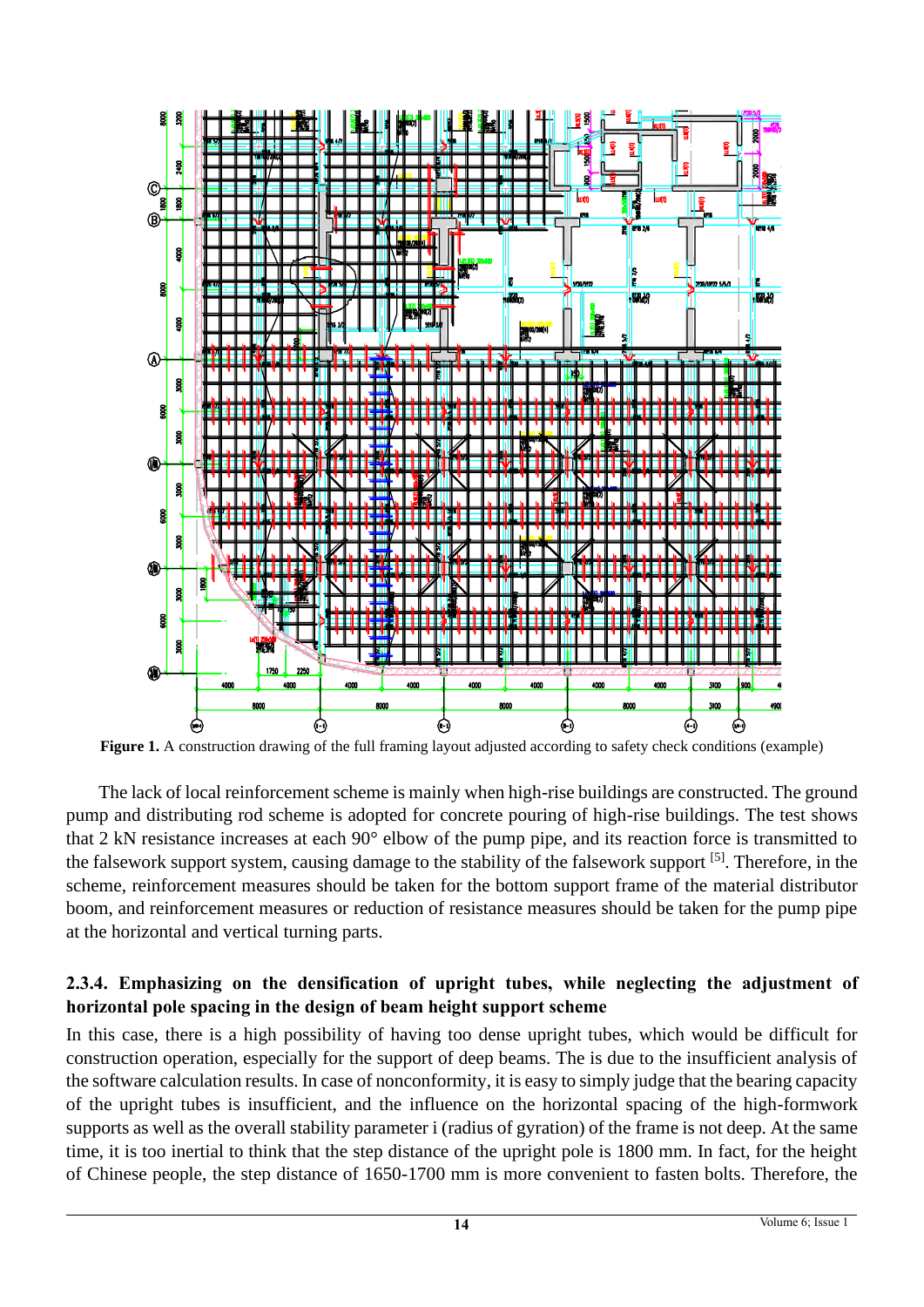

**Figure 1.** A construction drawing of the full framing layout adjusted according to safety check conditions (example)

The lack of local reinforcement scheme is mainly when high-rise buildings are constructed. The ground pump and distributing rod scheme is adopted for concrete pouring of high-rise buildings. The test shows that 2 kN resistance increases at each 90° elbow of the pump pipe, and its reaction force is transmitted to the falsework support system, causing damage to the stability of the falsework support <sup>[5]</sup>. Therefore, in the scheme, reinforcement measures should be taken for the bottom support frame of the material distributor boom, and reinforcement measures or reduction of resistance measures should be taken for the pump pipe at the horizontal and vertical turning parts.

### **2.3.4. Emphasizing on the densification of upright tubes, while neglecting the adjustment of horizontal pole spacing in the design of beam height support scheme**

In this case, there is a high possibility of having too dense upright tubes, which would be difficult for construction operation, especially for the support of deep beams. The is due to the insufficient analysis of the software calculation results. In case of nonconformity, it is easy to simply judge that the bearing capacity of the upright tubes is insufficient, and the influence on the horizontal spacing of the high-formwork supports as well as the overall stability parameter i (radius of gyration) of the frame is not deep. At the same time, it is too inertial to think that the step distance of the upright pole is 1800 mm. In fact, for the height of Chinese people, the step distance of 1650-1700 mm is more convenient to fasten bolts. Therefore, the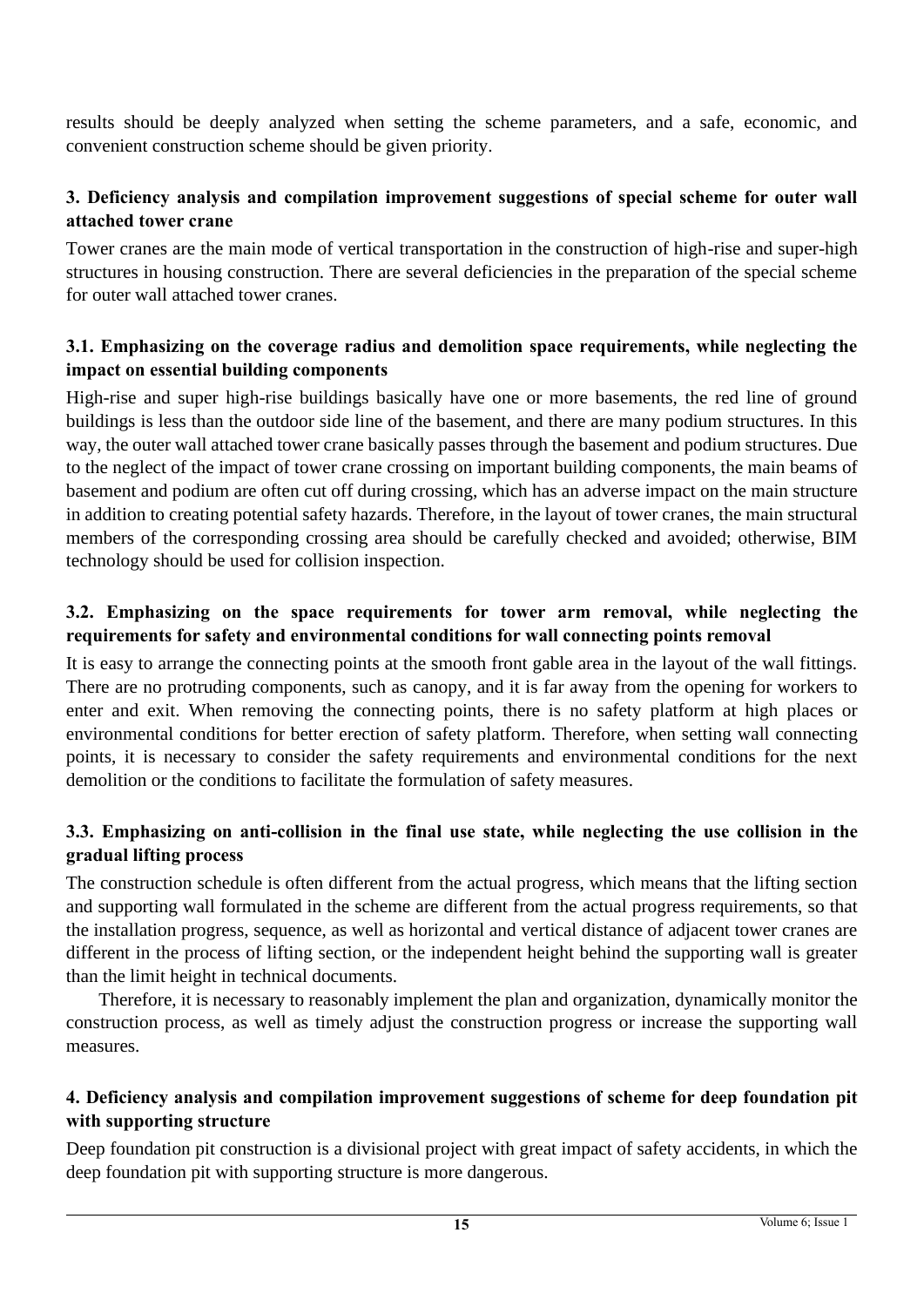results should be deeply analyzed when setting the scheme parameters, and a safe, economic, and convenient construction scheme should be given priority.

### **3. Deficiency analysis and compilation improvement suggestions of special scheme for outer wall attached tower crane**

Tower cranes are the main mode of vertical transportation in the construction of high-rise and super-high structures in housing construction. There are several deficiencies in the preparation of the special scheme for outer wall attached tower cranes.

#### **3.1. Emphasizing on the coverage radius and demolition space requirements, while neglecting the impact on essential building components**

High-rise and super high-rise buildings basically have one or more basements, the red line of ground buildings is less than the outdoor side line of the basement, and there are many podium structures. In this way, the outer wall attached tower crane basically passes through the basement and podium structures. Due to the neglect of the impact of tower crane crossing on important building components, the main beams of basement and podium are often cut off during crossing, which has an adverse impact on the main structure in addition to creating potential safety hazards. Therefore, in the layout of tower cranes, the main structural members of the corresponding crossing area should be carefully checked and avoided; otherwise, BIM technology should be used for collision inspection.

#### **3.2. Emphasizing on the space requirements for tower arm removal, while neglecting the requirements for safety and environmental conditions for wall connecting points removal**

It is easy to arrange the connecting points at the smooth front gable area in the layout of the wall fittings. There are no protruding components, such as canopy, and it is far away from the opening for workers to enter and exit. When removing the connecting points, there is no safety platform at high places or environmental conditions for better erection of safety platform. Therefore, when setting wall connecting points, it is necessary to consider the safety requirements and environmental conditions for the next demolition or the conditions to facilitate the formulation of safety measures.

#### **3.3. Emphasizing on anti-collision in the final use state, while neglecting the use collision in the gradual lifting process**

The construction schedule is often different from the actual progress, which means that the lifting section and supporting wall formulated in the scheme are different from the actual progress requirements, so that the installation progress, sequence, as well as horizontal and vertical distance of adjacent tower cranes are different in the process of lifting section, or the independent height behind the supporting wall is greater than the limit height in technical documents.

Therefore, it is necessary to reasonably implement the plan and organization, dynamically monitor the construction process, as well as timely adjust the construction progress or increase the supporting wall measures.

#### **4. Deficiency analysis and compilation improvement suggestions of scheme for deep foundation pit with supporting structure**

Deep foundation pit construction is a divisional project with great impact of safety accidents, in which the deep foundation pit with supporting structure is more dangerous.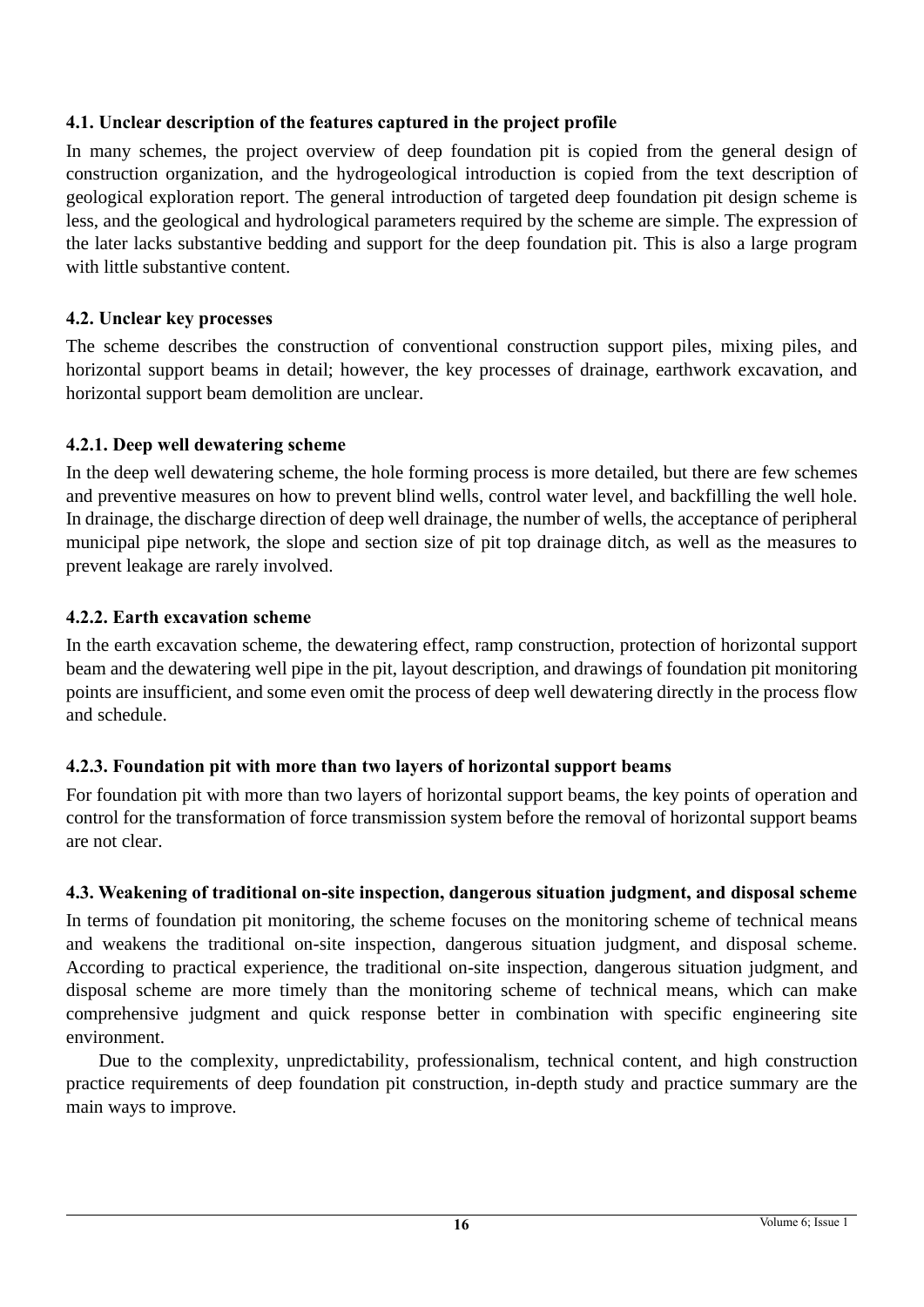## **4.1. Unclear description of the features captured in the project profile**

In many schemes, the project overview of deep foundation pit is copied from the general design of construction organization, and the hydrogeological introduction is copied from the text description of geological exploration report. The general introduction of targeted deep foundation pit design scheme is less, and the geological and hydrological parameters required by the scheme are simple. The expression of the later lacks substantive bedding and support for the deep foundation pit. This is also a large program with little substantive content.

#### **4.2. Unclear key processes**

The scheme describes the construction of conventional construction support piles, mixing piles, and horizontal support beams in detail; however, the key processes of drainage, earthwork excavation, and horizontal support beam demolition are unclear.

### **4.2.1. Deep well dewatering scheme**

In the deep well dewatering scheme, the hole forming process is more detailed, but there are few schemes and preventive measures on how to prevent blind wells, control water level, and backfilling the well hole. In drainage, the discharge direction of deep well drainage, the number of wells, the acceptance of peripheral municipal pipe network, the slope and section size of pit top drainage ditch, as well as the measures to prevent leakage are rarely involved.

### **4.2.2. Earth excavation scheme**

In the earth excavation scheme, the dewatering effect, ramp construction, protection of horizontal support beam and the dewatering well pipe in the pit, layout description, and drawings of foundation pit monitoring points are insufficient, and some even omit the process of deep well dewatering directly in the process flow and schedule.

#### **4.2.3. Foundation pit with more than two layers of horizontal support beams**

For foundation pit with more than two layers of horizontal support beams, the key points of operation and control for the transformation of force transmission system before the removal of horizontal support beams are not clear.

## **4.3. Weakening of traditional on-site inspection, dangerous situation judgment, and disposal scheme**

In terms of foundation pit monitoring, the scheme focuses on the monitoring scheme of technical means and weakens the traditional on-site inspection, dangerous situation judgment, and disposal scheme. According to practical experience, the traditional on-site inspection, dangerous situation judgment, and disposal scheme are more timely than the monitoring scheme of technical means, which can make comprehensive judgment and quick response better in combination with specific engineering site environment.

Due to the complexity, unpredictability, professionalism, technical content, and high construction practice requirements of deep foundation pit construction, in-depth study and practice summary are the main ways to improve.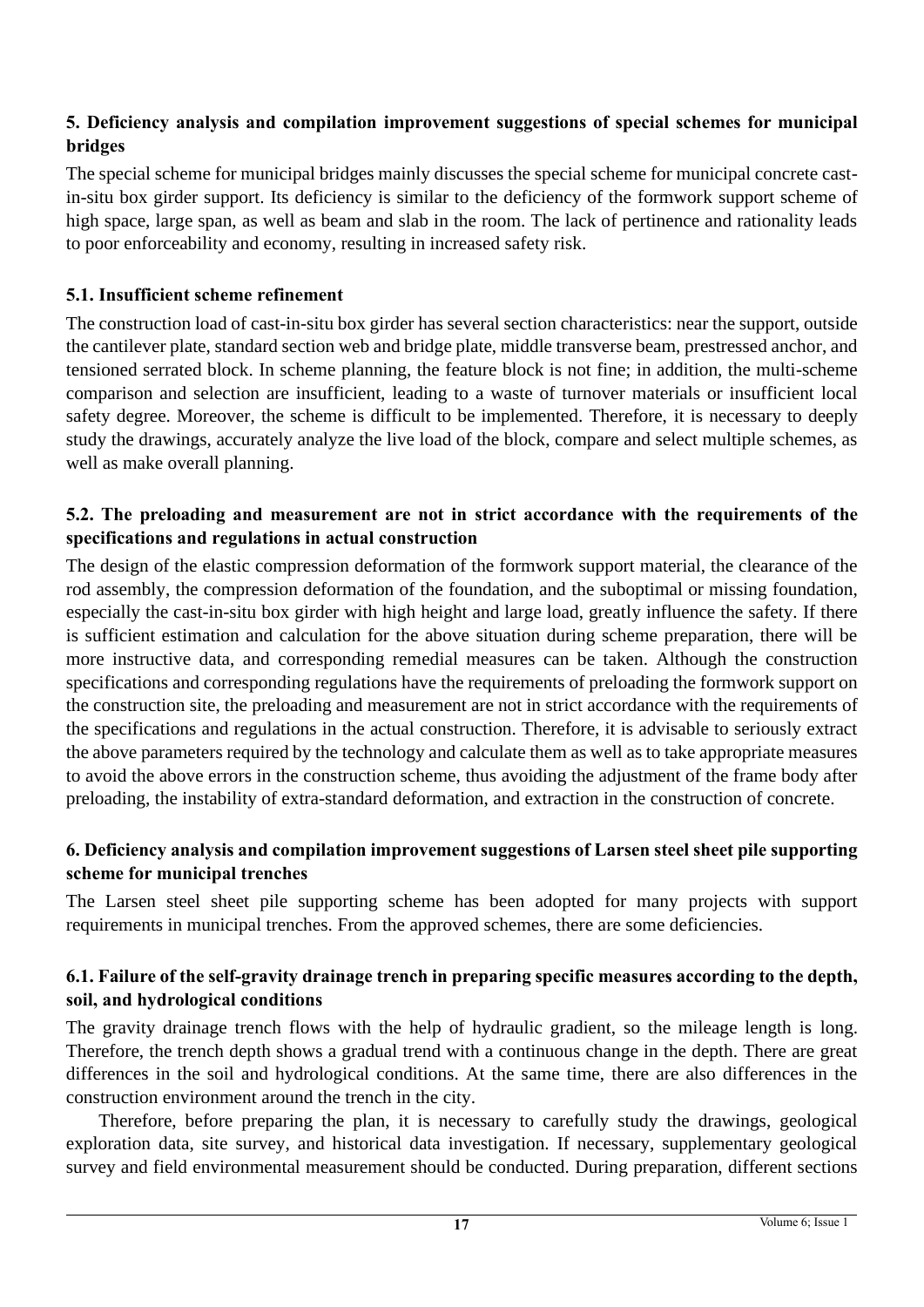## **5. Deficiency analysis and compilation improvement suggestions of special schemes for municipal bridges**

The special scheme for municipal bridges mainly discusses the special scheme for municipal concrete castin-situ box girder support. Its deficiency is similar to the deficiency of the formwork support scheme of high space, large span, as well as beam and slab in the room. The lack of pertinence and rationality leads to poor enforceability and economy, resulting in increased safety risk.

#### **5.1. Insufficient scheme refinement**

The construction load of cast-in-situ box girder has several section characteristics: near the support, outside the cantilever plate, standard section web and bridge plate, middle transverse beam, prestressed anchor, and tensioned serrated block. In scheme planning, the feature block is not fine; in addition, the multi-scheme comparison and selection are insufficient, leading to a waste of turnover materials or insufficient local safety degree. Moreover, the scheme is difficult to be implemented. Therefore, it is necessary to deeply study the drawings, accurately analyze the live load of the block, compare and select multiple schemes, as well as make overall planning.

#### **5.2. The preloading and measurement are not in strict accordance with the requirements of the specifications and regulations in actual construction**

The design of the elastic compression deformation of the formwork support material, the clearance of the rod assembly, the compression deformation of the foundation, and the suboptimal or missing foundation, especially the cast-in-situ box girder with high height and large load, greatly influence the safety. If there is sufficient estimation and calculation for the above situation during scheme preparation, there will be more instructive data, and corresponding remedial measures can be taken. Although the construction specifications and corresponding regulations have the requirements of preloading the formwork support on the construction site, the preloading and measurement are not in strict accordance with the requirements of the specifications and regulations in the actual construction. Therefore, it is advisable to seriously extract the above parameters required by the technology and calculate them as well as to take appropriate measures to avoid the above errors in the construction scheme, thus avoiding the adjustment of the frame body after preloading, the instability of extra-standard deformation, and extraction in the construction of concrete.

#### **6. Deficiency analysis and compilation improvement suggestions of Larsen steel sheet pile supporting scheme for municipal trenches**

The Larsen steel sheet pile supporting scheme has been adopted for many projects with support requirements in municipal trenches. From the approved schemes, there are some deficiencies.

#### **6.1. Failure of the self-gravity drainage trench in preparing specific measures according to the depth, soil, and hydrological conditions**

The gravity drainage trench flows with the help of hydraulic gradient, so the mileage length is long. Therefore, the trench depth shows a gradual trend with a continuous change in the depth. There are great differences in the soil and hydrological conditions. At the same time, there are also differences in the construction environment around the trench in the city.

Therefore, before preparing the plan, it is necessary to carefully study the drawings, geological exploration data, site survey, and historical data investigation. If necessary, supplementary geological survey and field environmental measurement should be conducted. During preparation, different sections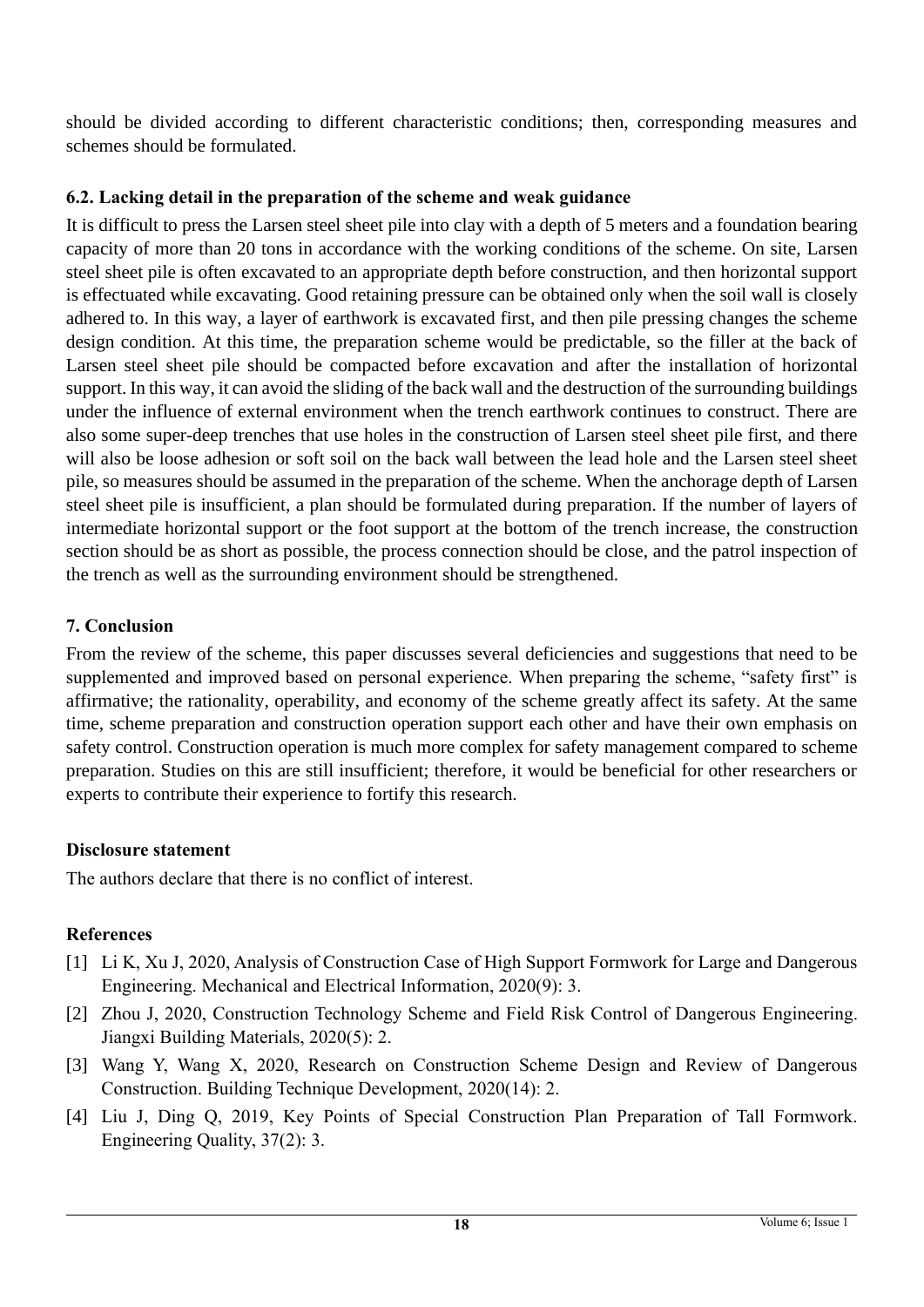should be divided according to different characteristic conditions; then, corresponding measures and schemes should be formulated.

## **6.2. Lacking detail in the preparation of the scheme and weak guidance**

It is difficult to press the Larsen steel sheet pile into clay with a depth of 5 meters and a foundation bearing capacity of more than 20 tons in accordance with the working conditions of the scheme. On site, Larsen steel sheet pile is often excavated to an appropriate depth before construction, and then horizontal support is effectuated while excavating. Good retaining pressure can be obtained only when the soil wall is closely adhered to. In this way, a layer of earthwork is excavated first, and then pile pressing changes the scheme design condition. At this time, the preparation scheme would be predictable, so the filler at the back of Larsen steel sheet pile should be compacted before excavation and after the installation of horizontal support. In this way, it can avoid the sliding of the back wall and the destruction of the surrounding buildings under the influence of external environment when the trench earthwork continues to construct. There are also some super-deep trenches that use holes in the construction of Larsen steel sheet pile first, and there will also be loose adhesion or soft soil on the back wall between the lead hole and the Larsen steel sheet pile, so measures should be assumed in the preparation of the scheme. When the anchorage depth of Larsen steel sheet pile is insufficient, a plan should be formulated during preparation. If the number of layers of intermediate horizontal support or the foot support at the bottom of the trench increase, the construction section should be as short as possible, the process connection should be close, and the patrol inspection of the trench as well as the surrounding environment should be strengthened.

## **7. Conclusion**

From the review of the scheme, this paper discusses several deficiencies and suggestions that need to be supplemented and improved based on personal experience. When preparing the scheme, "safety first" is affirmative; the rationality, operability, and economy of the scheme greatly affect its safety. At the same time, scheme preparation and construction operation support each other and have their own emphasis on safety control. Construction operation is much more complex for safety management compared to scheme preparation. Studies on this are still insufficient; therefore, it would be beneficial for other researchers or experts to contribute their experience to fortify this research.

## **Disclosure statement**

The authors declare that there is no conflict of interest.

## **References**

- [1] Li K, Xu J, 2020, Analysis of Construction Case of High Support Formwork for Large and Dangerous Engineering. Mechanical and Electrical Information, 2020(9): 3.
- [2] Zhou J, 2020, Construction Technology Scheme and Field Risk Control of Dangerous Engineering. Jiangxi Building Materials, 2020(5): 2.
- [3] Wang Y, Wang X, 2020, Research on Construction Scheme Design and Review of Dangerous Construction. Building Technique Development, 2020(14): 2.
- [4] Liu J, Ding Q, 2019, Key Points of Special Construction Plan Preparation of Tall Formwork. Engineering Quality, 37(2): 3.